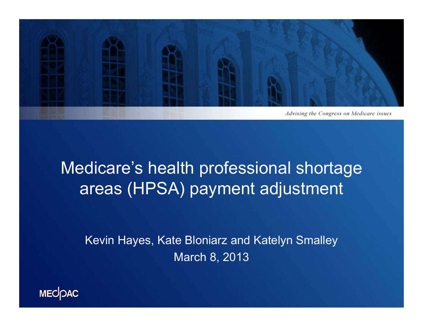

## Medicare's health professional shortage areas (HPSA) payment adjustment

Kevin Hayes, Kate Bloniarz and Katelyn Smalley March 8, 2013

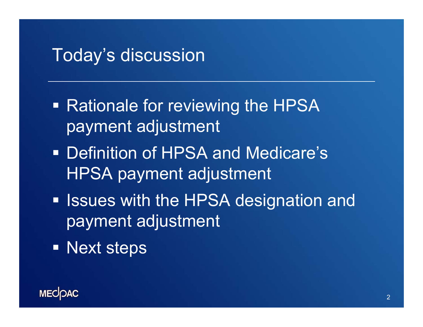#### Today's discussion

- Rationale for reviewing the HPSA payment adjustment
- **Definition of HPSA and Medicare's** HPSA payment adjustment
- **Inducer 1.5 Section 1.5 Fearth in EV SA designation and 1.5 Fearth III** payment adjustment
- **Next steps**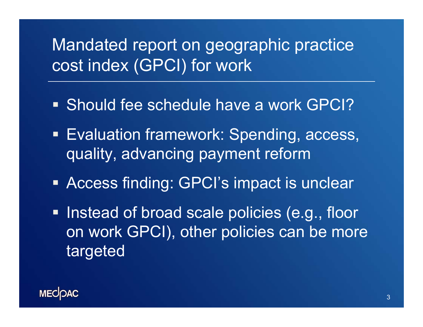## Mandated report on geographic practice cost index (GPCI) for work

- Should fee schedule have a work GPCI?
- **Evaluation framework: Spending, access,** quality, advancing payment reform
- Access finding: GPCI's impact is unclear
- **Instead of broad scale policies (e.g., floor** on work GPCI), other policies can be more targeted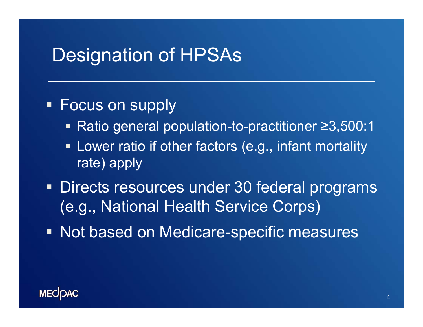#### Designation of HPSAs

#### Focus on supply

- Ratio general population-to-practitioner ≥3,500:1
- **EXTE:** Lower ratio if other factors (e.g., infant mortality rate) apply
- **Directs resources under 30 federal programs** (e.g., National Health Service Corps)
- **Not based on Medicare-specific measures**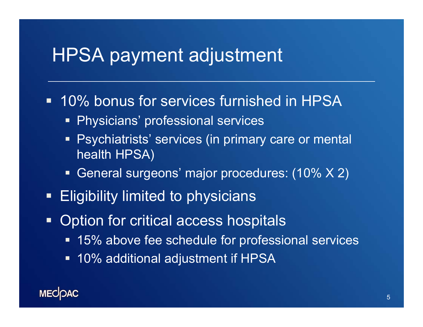## HPSA payment adjustment

#### **10% bonus for services furnished in HPSA**

- **Physicians' professional services**
- **Pashiatrists' services (in primary care or mental** health HPSA)
- General surgeons' major procedures: (10% X 2)
- Eligibility limited to physicians
- **Option for critical access hospitals** 
	- 15% above fee schedule for professional services
	- 10% additional adjustment if HPSA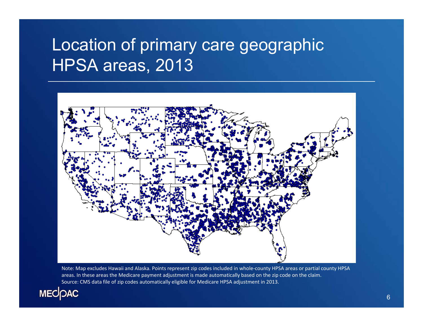## Location of primary care geographic HPSA areas, 2013



Note: Map excludes Hawaii and Alaska. Points represent zip codes included in whole‐county HPSA areas or partial county HPSA areas. In these areas the Medicare payment adjustment is made automatically based on the zip code on the claim. Source: CMS data file of zip codes automatically eligible for Medicare HPSA adjustment in 2013.

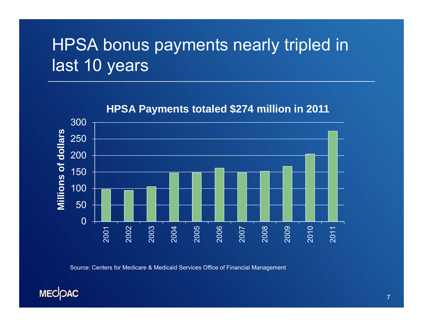# HPSA bonus payments nearly tripled in last 10 years



#### **HPSA Payments totaled \$274 million in 2011**

Source: Centers for Medicare & Medicaid Services Office of Financial Management

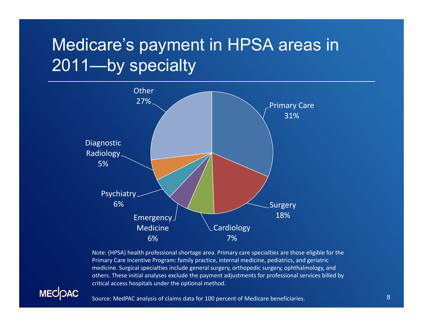# Medicare's payment in HPSA areas in 2011-by specialty



Note: (HPSA) health professional shortage area. Primary care specialties are those eligible for the Primary Care Incentive Program: family practice, internal medicine, pediatrics, and geriatric medicine. Surgical specialties include general surgery, orthopedic surgery, ophthalmology, and others. These initial analyses exclude the payment adjustments for professional services billed by critical access hospitals under the optional method.



Source: MedPAC analysis of claims data for 100 percent of Medicare beneficiaries.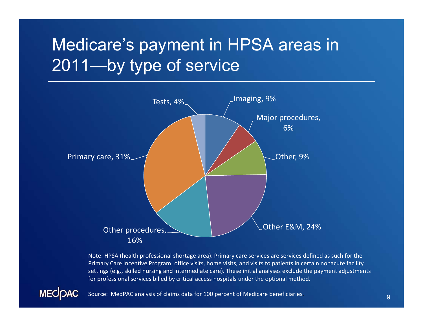# Medicare's payment in HPSA areas in 2011—by type of service



Note: HPSA (health professional shortage area). Primary care services are services defined as such for the Primary Care Incentive Program: office visits, home visits, and visits to patients in certain nonacute facility settings (e.g., skilled nursing and intermediate care). These initial analyses exclude the payment adjustments for professional services billed by critical access hospitals under the optional method.



Source: MedPAC analysis of claims data for 100 percent of Medicare beneficiaries.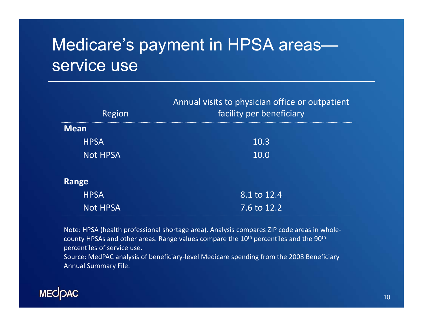## Medicare's payment in HPSA areas service use

| Region          | Annual visits to physician office or outpatient<br>facility per beneficiary |
|-----------------|-----------------------------------------------------------------------------|
| <b>Mean</b>     |                                                                             |
| <b>HPSA</b>     | 10.3                                                                        |
| <b>Not HPSA</b> | 10.0                                                                        |
|                 |                                                                             |
| Range           |                                                                             |
| <b>HPSA</b>     | 8.1 to 12.4                                                                 |
| <b>Not HPSA</b> | 7.6 to 12.2                                                                 |

Note: HPSA (health professional shortage area). Analysis compares ZIP code areas in whole‐ county HPSAs and other areas. Range values compare the 10<sup>th</sup> percentiles and the 90<sup>th</sup> percentiles of service use.

Source: MedPAC analysis of beneficiary‐level Medicare spending from the 2008 Beneficiary Annual Summary File.

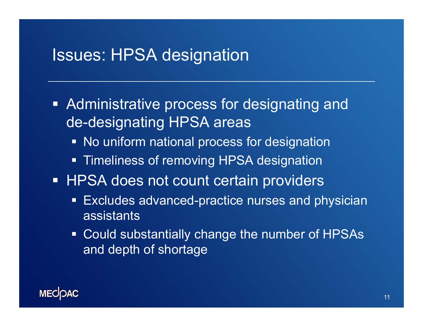#### Issues: HPSA designation

- **Administrative process for designating and** de-designating HPSA areas
	- **No uniform national process for designation**
	- **Timeliness of removing HPSA designation**
- **HPSA does not count certain providers** 
	- $\blacksquare$  Excludes advanced-practice nurses and physician assistants
	- Could substantially change the number of HPSAs and depth of shortage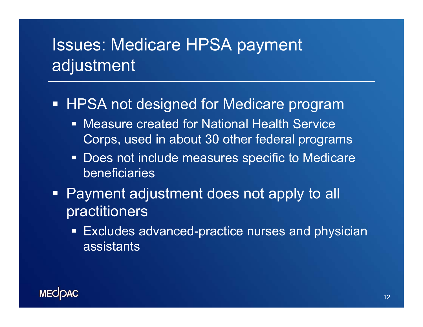## Issues: Medicare HPSA payment adjustment

#### **HPSA not designed for Medicare program**

- Measure created for National Health Service Corps, used in about 30 other federal programs
- **Does not include measures specific to Medicare** beneficiaries
- Payment adjustment does not apply to all practitioners
	- Excludes advanced-practice nurses and physician assistants

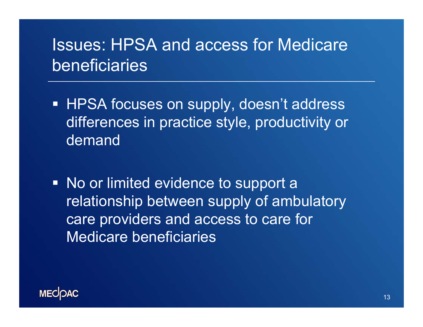#### Issues: HPSA and access for Medicare beneficiaries

- HPSA focuses on supply, doesn't address differences in practice style, productivity or demand
- No or limited evidence to support a relationship between supply of ambulatory care providers and access to care for Medicare beneficiaries